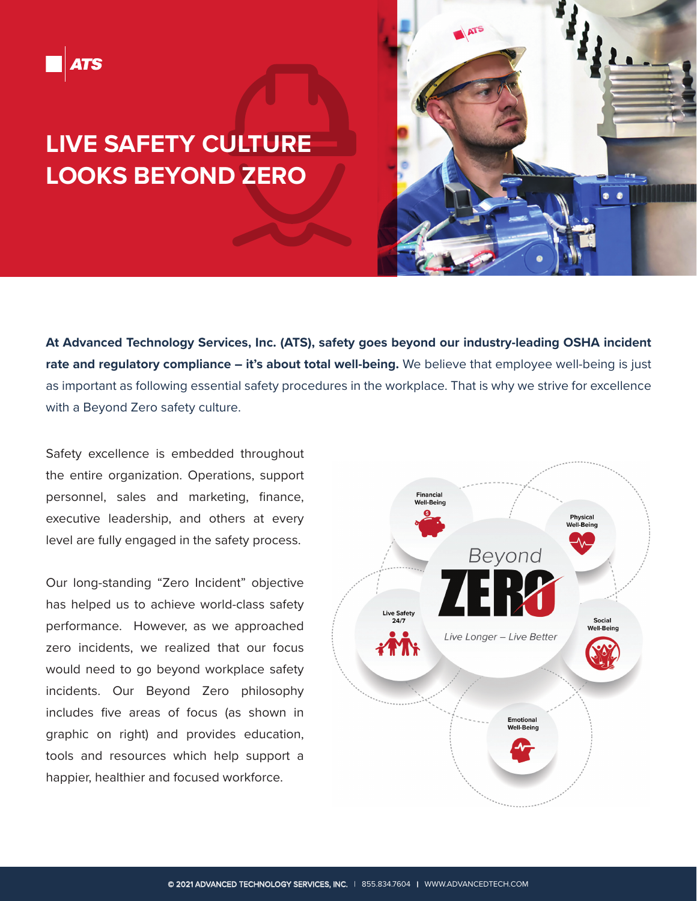## **LIVE SAFETY CULTURE LOOKS BEYOND ZERO**



**At Advanced Technology Services, Inc. (ATS), safety goes beyond our industry-leading OSHA incident rate and regulatory compliance – it's about total well-being.** We believe that employee well-being is just as important as following essential safety procedures in the workplace. That is why we strive for excellence with a Beyond Zero safety culture.

Safety excellence is embedded throughout the entire organization. Operations, support personnel, sales and marketing, finance, executive leadership, and others at every level are fully engaged in the safety process.

Our long-standing "Zero Incident" objective has helped us to achieve world-class safety performance. However, as we approached zero incidents, we realized that our focus would need to go beyond workplace safety incidents. Our Beyond Zero philosophy includes five areas of focus (as shown in graphic on right) and provides education, tools and resources which help support a happier, healthier and focused workforce.